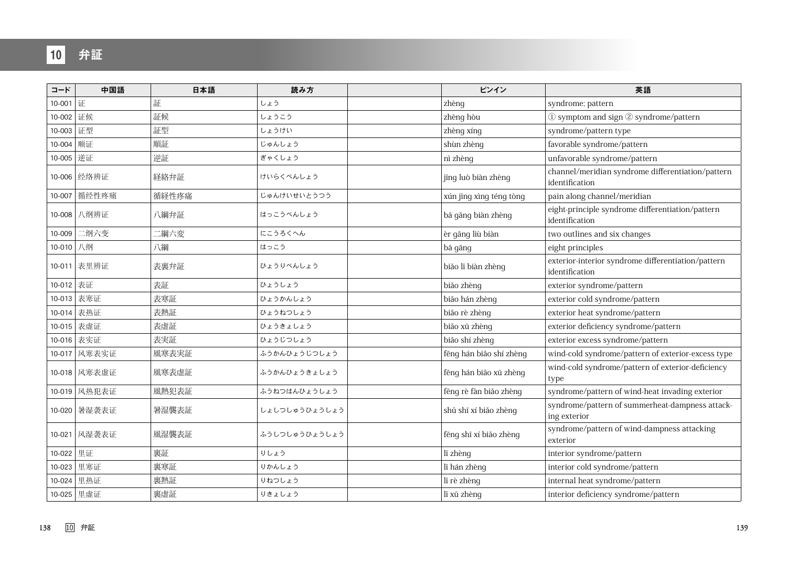| コード         | 中国語          | 日本語   | 読み方           | ピンイン                    | 英語                                                                   |
|-------------|--------------|-------|---------------|-------------------------|----------------------------------------------------------------------|
| 10-001      | 证            | 証     | しょう           | zhèng                   | syndrome; pattern                                                    |
| 10-002   证候 |              | 証候    | しょうこう         | zhèng hòu               | 1) symptom and sign 2 syndrome/pattern                               |
| 10-003 证型   |              | 証型    | しょうけい         | zhèng xíng              | syndrome/pattern type                                                |
| 10-004 顺证   |              | 順証    | じゅんしょう        | shùn zhèng              | favorable syndrome/pattern                                           |
| 10-005 逆证   |              | 逆証    | ぎゃくしょう        | nì zhèng                | unfavorable syndrome/pattern                                         |
|             | 10-006 经络辨证  | 経絡弁証  | けいらくべんしょう     | jīng luò biàn zhèng     | channel/meridian syndrome differentiation/pattern<br>identification  |
|             | 10-007 循经性疼痛 | 循経性疼痛 | じゅんけいせいとうつう   | xún jīng xìng téng tòng | pain along channel/meridian                                          |
|             | 10-008 八纲辨证  | 八綱弁証  | はっこうべんしょう     | bā gāng biàn zhèng      | eight-principle syndrome differentiation/pattern<br>identification   |
| 10-009      | 二纲六变         | 二綱六変  | にこうろくへん       | èr gāng liù biàn        | two outlines and six changes                                         |
| 10-010 八纲   |              | 八綱    | はっこう          | bā gāng                 | eight principles                                                     |
|             | 10-011 表里辨证  | 表裏弁証  | ひょうりべんしょう     | biăo lĭ biàn zhèng      | exterior-interior syndrome differentiation/pattern<br>identification |
| 10-012 表证   |              | 表証    | ひょうしょう        | biăo zhèng              | exterior syndrome/pattern                                            |
| 10-013      | 表寒证          | 表寒証   | ひょうかんしょう      | biăo hán zhèng          | exterior cold syndrome/pattern                                       |
|             | 10-014 表热证   | 表熱証   | ひょうねつしょう      | biăo rè zhèng           | exterior heat syndrome/pattern                                       |
|             | 10-015 表虚证   | 表虚証   | ひょうきょしょう      | biăo xū zhèng           | exterior deficiency syndrome/pattern                                 |
|             | 10-016 表实证   | 表実証   | ひょうじつしょう      | biăo shí zhèng          | exterior excess syndrome/pattern                                     |
|             | 10-017 风寒表实证 | 風寒表実証 | ふうかんひょうじつしょう  | fēng hán bião shí zhèng | wind-cold syndrome/pattern of exterior-excess type                   |
|             | 10-018 风寒表虚证 | 風寒表虚証 | ふうかんひょうきょしょう  | fēng hán biǎo xū zhèng  | wind-cold syndrome/pattern of exterior-deficiency<br>type            |
|             | 10-019 风热犯表证 | 風熱犯表証 | ふうねつはんひょうしょう  | fēng rè fàn biǎo zhèng  | syndrome/pattern of wind-heat invading exterior                      |
|             | 10-020 暑湿袭表证 | 暑湿襲表証 | しょしつしゅうひょうしょう | shủ shī xí biǎo zhèng   | syndrome/pattern of summerheat-dampness attack-<br>ing exterior      |
|             | 10-021 风湿袭表证 | 風湿襲表証 | ふうしつしゅうひょうしょう | fēng shī xí biǎo zhèng  | syndrome/pattern of wind-dampness attacking<br>exterior              |
| 10-022 里证   |              | 裏証    | りしょう          | lí zhèng                | interior syndrome/pattern                                            |
| 10-023      | 里寒证          | 裏寒証   | りかんしょう        | lǐ hán zhèng            | interior cold syndrome/pattern                                       |
|             | 10-024 里热证   | 裏熱証   | りねつしょう        | lǐ rè zhèng             | internal heat syndrome/pattern                                       |
|             | 10-025 里虚证   | 裏虚証   | りきょしょう        | lĩ xū zhèng             | interior deficiency syndrome/pattern                                 |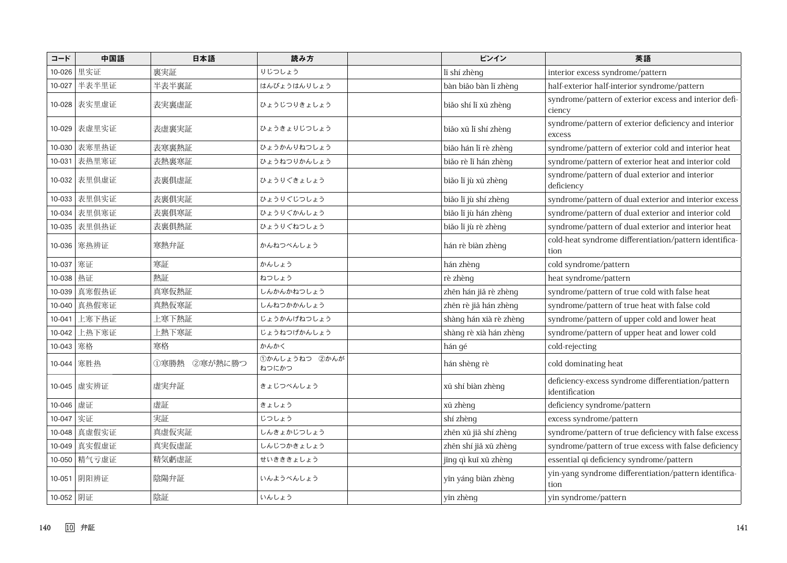| コード       | 中国語          | 日本語          | 読み方                    | ピンイン                   | 英語                                                                   |
|-----------|--------------|--------------|------------------------|------------------------|----------------------------------------------------------------------|
| 10-026    | 里实证          | 裏実証          | りじつしょう                 | lĩ shí zhèng           | interior excess syndrome/pattern                                     |
| 10-027    | 半表半里证        | 半表半裏証        | はんぴょうはんりしょう            | bàn biăo bàn lĩ zhèng  | half-exterior half-interior syndrome/pattern                         |
|           | 10-028 表实里虚证 | 表実裏虚証        | ひょうじつりきょしょう            | biăo shí lǐ xū zhèng   | syndrome/pattern of exterior excess and interior defi-<br>ciency     |
|           | 10-029 表虚里实证 | 表虚裏実証        | ひょうきょりじつしょう            | biăo xū lí shí zhèng   | syndrome/pattern of exterior deficiency and interior<br>excess       |
| 10-030    | 表寒里热证        | 表寒裏熱証        | ひょうかんりねつしょう            | biăo hán lĩ rè zhèng   | syndrome/pattern of exterior cold and interior heat                  |
| 10-031    | 表热里寒证        | 表熱裏寒証        | ひょうねつりかんしょう            | biăo rè lǐ hán zhèng   | syndrome/pattern of exterior heat and interior cold                  |
|           | 10-032 表里俱虚证 | 表裏俱虚証        | ひょうりぐきょしょう             | biăo lĩ jù xū zhèng    | syndrome/pattern of dual exterior and interior<br>deficiency         |
|           | 10-033 表里俱实证 | 表裏俱実証        | ひょうりぐじつしょう             | biăo lĩ jù shí zhèng   | syndrome/pattern of dual exterior and interior excess                |
| 10-034    | 表里俱寒证        | 表裏俱寒証        | ひょうりぐかんしょう             | biăo lĩ jù hán zhèng   | syndrome/pattern of dual exterior and interior cold                  |
|           | 10-035 表里俱热证 | 表裏俱熱証        | ひょうりぐねつしょう             | biăo lĩ jù rè zhèng    | syndrome/pattern of dual exterior and interior heat                  |
|           | 10-036 寒热辨证  | 寒熱弁証         | かんねつべんしょう              | hán rè biàn zhèng      | cold-heat syndrome differentiation/pattern identifica-<br>tion       |
| 10-037 寒证 |              | 寒証           | かんしょう                  | hán zhèng              | cold syndrome/pattern                                                |
| 10-038    | 热证           | 熱証           | ねつしょう                  | rè zhèng               | heat syndrome/pattern                                                |
| 10-039    | 真寒假热证        | 真寒仮熱証        | しんかんかねつしょう             | zhēn hán jiǎ rè zhèng  | syndrome/pattern of true cold with false heat                        |
| 10-040    | 真热假寒证        | 真熱仮寒証        | しんねつかかんしょう             | zhēn rè jiǎ hán zhèng  | syndrome/pattern of true heat with false cold                        |
| 10-041    | 上寒下热证        | 上寒下熱証        | じょうかんげねつしょう            | shàng hán xià rè zhèng | syndrome/pattern of upper cold and lower heat                        |
| 10-042    | 上热下寒证        | 上熱下寒証        | じょうねつげかんしょう            | shàng rè xià hán zhèng | syndrome/pattern of upper heat and lower cold                        |
| 10-043    | 寒格           | 寒格           | かんかく                   | hán gé                 | cold-rejecting                                                       |
|           | 10-044 寒胜热   | ①寒勝熱 ②寒が熱に勝つ | 1かんしょうねつ 2かんが<br>ねつにかつ | hán shèng rè           | cold dominating heat                                                 |
|           | 10-045 虚实辨证  | 虚実弁証         | きょじつべんしょう              | xū shí biàn zhèng      | deficiency-excess syndrome differentiation/pattern<br>identification |
| 10-046    | 虚证           | 虚証           | きょしょう                  | xū zhèng               | deficiency syndrome/pattern                                          |
| 10-047    | 实证           | 実証           | じつしょう                  | shí zhèng              | excess syndrome/pattern                                              |
| 10-048    | 真虚假实证        | 真虚仮実証        | しんきょかじつしょう             | zhēn xū jiǎ shí zhèng  | syndrome/pattern of true deficiency with false excess                |
|           | 10-049 真实假虚证 | 真実仮虚証        | しんじつかきょしょう             | zhēn shí jiǎ xū zhèng  | syndrome/pattern of true excess with false deficiency                |
|           | 10-050 精气亏虚证 | 精気虧虚証        | せいきききょしょう              | jīng qì kuī xū zhèng   | essential qi deficiency syndrome/pattern                             |
|           | 10-051 阴阳辨证  | 陰陽弁証         | いんようべんしょう              | yīn yáng biàn zhèng    | yin-yang syndrome differentiation/pattern identifica-<br>tion        |
| 10-052 阴证 |              | 陰証           | いんしょう                  | yīn zhèng              | yin syndrome/pattern                                                 |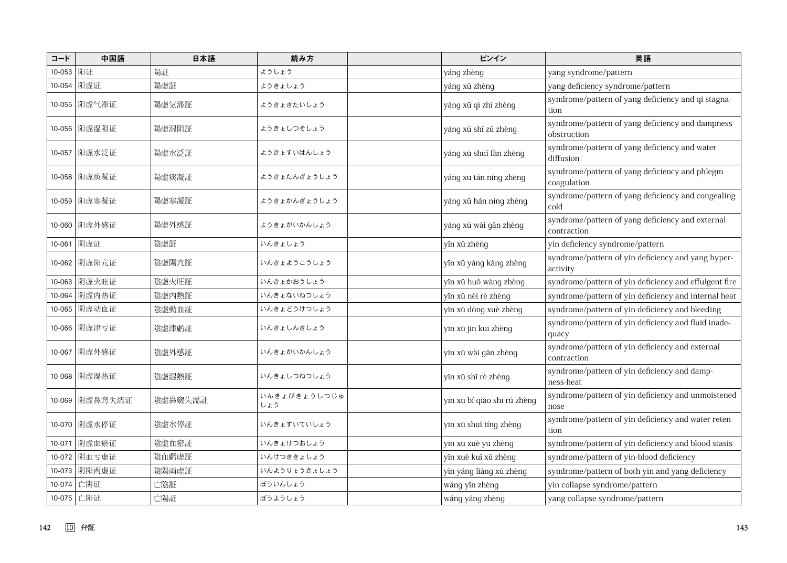| コード       | 中国語            | 日本語     | 読み方                 | ピンイン                        | 英語                                                              |
|-----------|----------------|---------|---------------------|-----------------------------|-----------------------------------------------------------------|
| 10-053 阳证 |                | 陽証      | ようしょう               | yáng zhèng                  | yang syndrome/pattern                                           |
|           | 10-054 阳虚证     | 陽虚証     | ようきょしょう             | yáng xū zhèng               | yang deficiency syndrome/pattern                                |
|           | 10-055 阳虚气滞证   | 陽虚気滞証   | ようきょきたいしょう          | yáng xū qì zhì zhèng        | syndrome/pattern of yang deficiency and qi stagna-<br>tion      |
|           | 10-056 阳虚湿阻证   | 陽虚湿阻証   | ようきょしつそしょう          | yáng xū shī zǔ zhèng        | syndrome/pattern of yang deficiency and dampness<br>obstruction |
|           | 10-057 阳虚水泛证   | 陽虚水泛証   | ようきょすいはんしょう         | yáng xū shuǐ fàn zhèng      | syndrome/pattern of yang deficiency and water<br>diffusion      |
|           | 10-058 阳虚痰凝证   | 陽虚痰凝証   | ようきょたんぎょうしょう        | yáng xū tán níng zhèng      | syndrome/pattern of yang deficiency and phlegm<br>coagulation   |
|           | 10-059 阳虚寒凝证   | 陽虚寒凝証   | ようきょかんぎょうしょう        | yáng xū hán níng zhèng      | syndrome/pattern of yang deficiency and congealing<br>cold      |
|           | 10-060 阳虚外感证   | 陽虚外感証   | ようきょがいかんしょう         | yáng xū wài găn zhèng       | syndrome/pattern of yang deficiency and external<br>contraction |
|           | 10-061 阴虚证     | 陰虚証     | いんきょしょう             | yīn xū zhèng                | yin deficiency syndrome/pattern                                 |
|           | 10-062 阴虚阳亢证   | 陰虚陽亢証   | いんきょようこうしょう         | yīn xū yáng kàng zhèng      | syndrome/pattern of yin deficiency and yang hyper-<br>activity  |
|           | 10-063 阴虚火旺证   | 陰虚火旺証   | いんきょかおうしょう          | yīn xū huǒ wàng zhèng       | syndrome/pattern of yin deficiency and effulgent fire           |
| 10-064    | 阴虚内热证          | 陰虚内熱証   | いんきょないねつしょう         | yīn xū nèi rè zhèng         | syndrome/pattern of yin deficiency and internal heat            |
|           | 10-065 阴虚动血证   | 陰虚動血証   | いんきょどうけつしょう         | yīn xū dòng xuè zhèng       | syndrome/pattern of yin deficiency and bleeding                 |
|           | 10-066 阴虚津亏证   | 陰虚津虧証   | いんきょしんきしょう          | yīn xū jīn kuī zhèng        | syndrome/pattern of yin deficiency and fluid inade-<br>quacy    |
|           | 10-067 阴虚外感证   | 陰虚外感証   | いんきょがいかんしょう         | yīn xū wài găn zhèng        | syndrome/pattern of yin deficiency and external<br>contraction  |
|           | 10-068 阴虚湿热证   | 陰虚湿熱証   | いんきょしつねつしょう         | yīn xū shī rè zhèng         | syndrome/pattern of yin deficiency and damp-<br>ness-heat       |
|           | 10-069 阴虚鼻窍失濡证 | 陰虚鼻竅失濡証 | いんきょびきょうしつじゅ<br>しょう | yīn xū bí qiào shī rú zhèng | syndrome/pattern of yin deficiency and unmoistened<br>nose      |
|           | 10-070 阴虚水停证   | 陰虚水停証   | いんきょすいていしょう         | yīn xū shuǐ tíng zhèng      | syndrome/pattern of yin deficiency and water reten-<br>tion     |
|           | 10-071 阴虚血瘀证   | 陰虚血瘀証   | いんきょけつおしょう          | yīn xū xuè yū zhèng         | syndrome/pattern of yin deficiency and blood stasis             |
|           | 10-072 阴血亏虚证   | 陰血虧虚証   | いんけつききょしょう          | yīn xuè kuī xū zhèng        | syndrome/pattern of yin-blood deficiency                        |
|           | 10-073 阴阳两虚证   | 陰陽両虚証   | いんようりょうきょしょう        | yīn yáng liǎng xū zhèng     | syndrome/pattern of both yin and yang deficiency                |
|           | 10-074 亡阴证     | 亡陰証     | ぼういんしょう             | wáng yīn zhèng              | yin collapse syndrome/pattern                                   |
|           | 10-075 工阳证     | 亡陽証     | ぼうようしょう             | wáng yáng zhèng             | yang collapse syndrome/pattern                                  |